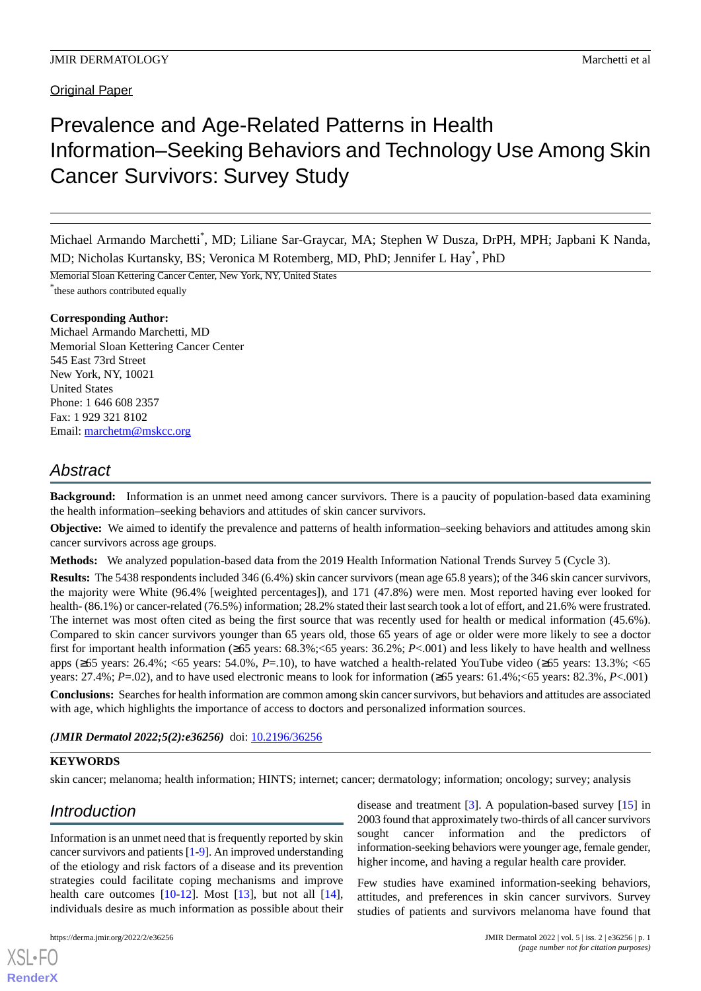# Prevalence and Age-Related Patterns in Health Information–Seeking Behaviors and Technology Use Among Skin Cancer Survivors: Survey Study

Michael Armando Marchetti\* , MD; Liliane Sar-Graycar, MA; Stephen W Dusza, DrPH, MPH; Japbani K Nanda, MD; Nicholas Kurtansky, BS; Veronica M Rotemberg, MD, PhD; Jennifer L Hay\* , PhD

Memorial Sloan Kettering Cancer Center, New York, NY, United States

\* these authors contributed equally

#### **Corresponding Author:**

Michael Armando Marchetti, MD Memorial Sloan Kettering Cancer Center 545 East 73rd Street New York, NY, 10021 United States Phone: 1 646 608 2357 Fax: 1 929 321 8102 Email: [marchetm@mskcc.org](mailto:marchetm@mskcc.org)

## *Abstract*

**Background:** Information is an unmet need among cancer survivors. There is a paucity of population-based data examining the health information–seeking behaviors and attitudes of skin cancer survivors.

**Objective:** We aimed to identify the prevalence and patterns of health information–seeking behaviors and attitudes among skin cancer survivors across age groups.

**Methods:** We analyzed population-based data from the 2019 Health Information National Trends Survey 5 (Cycle 3).

**Results:** The 5438 respondents included 346 (6.4%) skin cancer survivors (mean age 65.8 years); of the 346 skin cancer survivors, the majority were White (96.4% [weighted percentages]), and 171 (47.8%) were men. Most reported having ever looked for health- (86.1%) or cancer-related (76.5%) information; 28.2% stated their last search took a lot of effort, and 21.6% were frustrated. The internet was most often cited as being the first source that was recently used for health or medical information (45.6%). Compared to skin cancer survivors younger than 65 years old, those 65 years of age or older were more likely to see a doctor first for important health information (≥65 years: 68.3%;<65 years: 36.2%; *P*<.001) and less likely to have health and wellness apps (≥65 years: 26.4%; <65 years: 54.0%, *P*=.10), to have watched a health-related YouTube video (≥65 years: 13.3%; <65 years:  $27.4\%$ ; *P*=.02), and to have used electronic means to look for information ( $\geq 65$  years: 61.4%; <65 years: 82.3%, *P*<.001)

**Conclusions:** Searches for health information are common among skin cancer survivors, but behaviors and attitudes are associated with age, which highlights the importance of access to doctors and personalized information sources.

#### (JMIR Dermatol 2022;5(2):e36256) doi: [10.2196/36256](http://dx.doi.org/10.2196/36256)

#### **KEYWORDS**

skin cancer; melanoma; health information; HINTS; internet; cancer; dermatology; information; oncology; survey; analysis

## *Introduction*

Information is an unmet need that is frequently reported by skin cancer survivors and patients [[1](#page-8-0)[-9](#page-9-0)]. An improved understanding of the etiology and risk factors of a disease and its prevention strategies could facilitate coping mechanisms and improve health care outcomes  $[10-12]$  $[10-12]$  $[10-12]$ . Most  $[13]$  $[13]$ , but not all  $[14]$  $[14]$ , individuals desire as much information as possible about their

[XSL](http://www.w3.org/Style/XSL)•FO **[RenderX](http://www.renderx.com/)**

disease and treatment [\[3](#page-9-5)]. A population-based survey [\[15](#page-9-6)] in 2003 found that approximately two-thirds of all cancer survivors sought cancer information and the predictors of information-seeking behaviors were younger age, female gender, higher income, and having a regular health care provider.

Few studies have examined information-seeking behaviors, attitudes, and preferences in skin cancer survivors. Survey studies of patients and survivors melanoma have found that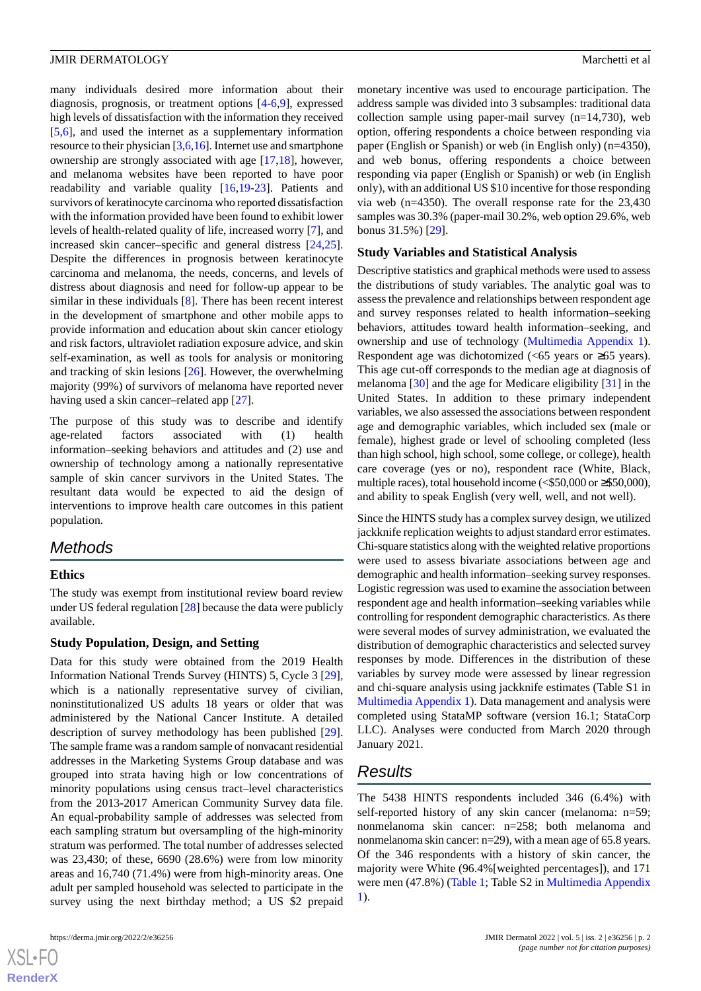many individuals desired more information about their diagnosis, prognosis, or treatment options [[4](#page-9-7)[-6](#page-9-8),[9\]](#page-9-0), expressed high levels of dissatisfaction with the information they received [[5](#page-9-9)[,6](#page-9-8)], and used the internet as a supplementary information resource to their physician [\[3](#page-9-5)[,6](#page-9-8),[16](#page-9-10)]. Internet use and smartphone ownership are strongly associated with age [\[17](#page-9-11),[18\]](#page-9-12), however, and melanoma websites have been reported to have poor readability and variable quality [\[16](#page-9-10),[19-](#page-9-13)[23](#page-9-14)]. Patients and survivors of keratinocyte carcinoma who reported dissatisfaction with the information provided have been found to exhibit lower levels of health-related quality of life, increased worry [\[7](#page-9-15)], and increased skin cancer–specific and general distress [\[24](#page-9-16),[25\]](#page-9-17). Despite the differences in prognosis between keratinocyte carcinoma and melanoma, the needs, concerns, and levels of distress about diagnosis and need for follow-up appear to be similar in these individuals [\[8](#page-9-18)]. There has been recent interest in the development of smartphone and other mobile apps to provide information and education about skin cancer etiology and risk factors, ultraviolet radiation exposure advice, and skin self-examination, as well as tools for analysis or monitoring and tracking of skin lesions [[26\]](#page-10-0). However, the overwhelming majority (99%) of survivors of melanoma have reported never having used a skin cancer–related app [\[27](#page-10-1)].

The purpose of this study was to describe and identify age-related factors associated with (1) health information–seeking behaviors and attitudes and (2) use and ownership of technology among a nationally representative sample of skin cancer survivors in the United States. The resultant data would be expected to aid the design of interventions to improve health care outcomes in this patient population.

## *Methods*

#### **Ethics**

The study was exempt from institutional review board review under US federal regulation [[28\]](#page-10-2) because the data were publicly available.

#### **Study Population, Design, and Setting**

Data for this study were obtained from the 2019 Health Information National Trends Survey (HINTS) 5, Cycle 3 [[29\]](#page-10-3), which is a nationally representative survey of civilian, noninstitutionalized US adults 18 years or older that was administered by the National Cancer Institute. A detailed description of survey methodology has been published [[29\]](#page-10-3). The sample frame was a random sample of nonvacant residential addresses in the Marketing Systems Group database and was grouped into strata having high or low concentrations of minority populations using census tract–level characteristics from the 2013-2017 American Community Survey data file. An equal-probability sample of addresses was selected from each sampling stratum but oversampling of the high-minority stratum was performed. The total number of addresses selected was 23,430; of these, 6690 (28.6%) were from low minority areas and 16,740 (71.4%) were from high-minority areas. One adult per sampled household was selected to participate in the survey using the next birthday method; a US \$2 prepaid

monetary incentive was used to encourage participation. The address sample was divided into 3 subsamples: traditional data collection sample using paper-mail survey (n=14,730), web option, offering respondents a choice between responding via paper (English or Spanish) or web (in English only) (n=4350), and web bonus, offering respondents a choice between responding via paper (English or Spanish) or web (in English only), with an additional US \$10 incentive for those responding via web (n=4350). The overall response rate for the 23,430 samples was 30.3% (paper-mail 30.2%, web option 29.6%, web bonus 31.5%) [\[29](#page-10-3)].

#### **Study Variables and Statistical Analysis**

Descriptive statistics and graphical methods were used to assess the distributions of study variables. The analytic goal was to assess the prevalence and relationships between respondent age and survey responses related to health information–seeking behaviors, attitudes toward health information–seeking, and ownership and use of technology [\(Multimedia Appendix 1\)](#page-8-1). Respondent age was dichotomized  $\left| \langle 65 \rangle \right|$  years or  $\geq 65$  years). This age cut-off corresponds to the median age at diagnosis of melanoma [\[30](#page-10-4)] and the age for Medicare eligibility [\[31](#page-10-5)] in the United States. In addition to these primary independent variables, we also assessed the associations between respondent age and demographic variables, which included sex (male or female), highest grade or level of schooling completed (less than high school, high school, some college, or college), health care coverage (yes or no), respondent race (White, Black, multiple races), total household income (<\$50,000 or ≥\$50,000), and ability to speak English (very well, well, and not well).

Since the HINTS study has a complex survey design, we utilized jackknife replication weights to adjust standard error estimates. Chi-square statistics along with the weighted relative proportions were used to assess bivariate associations between age and demographic and health information–seeking survey responses. Logistic regression was used to examine the association between respondent age and health information–seeking variables while controlling for respondent demographic characteristics. As there were several modes of survey administration, we evaluated the distribution of demographic characteristics and selected survey responses by mode. Differences in the distribution of these variables by survey mode were assessed by linear regression and chi-square analysis using jackknife estimates (Table S1 in [Multimedia Appendix 1](#page-8-1)). Data management and analysis were completed using StataMP software (version 16.1; StataCorp LLC). Analyses were conducted from March 2020 through January 2021.

## *Results*

The 5438 HINTS respondents included 346 (6.4%) with self-reported history of any skin cancer (melanoma: n=59; nonmelanoma skin cancer: n=258; both melanoma and nonmelanoma skin cancer: n=29), with a mean age of 65.8 years. Of the 346 respondents with a history of skin cancer, the majority were White (96.4%[weighted percentages]), and 171 were men (47.8%) ([Table 1](#page-2-0); Table S2 in [Multimedia Appendix](#page-8-1) [1\)](#page-8-1).

 $XSI - F($ **[RenderX](http://www.renderx.com/)**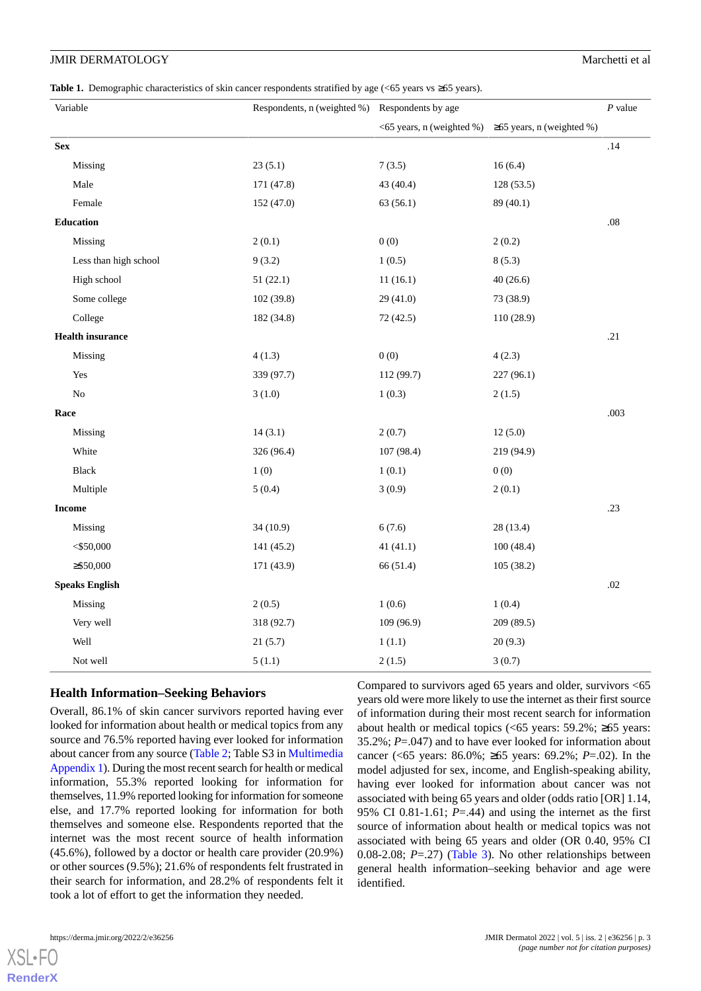<span id="page-2-0"></span>**Table 1.** Demographic characteristics of skin cancer respondents stratified by age (<65 years vs ≥65 years).

| Variable                | Respondents, n (weighted %) Respondents by age |            | $P$ value                                           |         |
|-------------------------|------------------------------------------------|------------|-----------------------------------------------------|---------|
|                         |                                                |            | <65 years, n (weighted %) ≥65 years, n (weighted %) |         |
| <b>Sex</b>              |                                                |            |                                                     | .14     |
| Missing                 | 23(5.1)                                        | 7(3.5)     | 16(6.4)                                             |         |
| Male                    | 171 (47.8)                                     | 43 (40.4)  | 128(53.5)                                           |         |
| Female                  | 152 (47.0)                                     | 63(56.1)   | 89 (40.1)                                           |         |
| Education               |                                                |            |                                                     | $.08\,$ |
| Missing                 | 2(0.1)                                         | 0(0)       | 2(0.2)                                              |         |
| Less than high school   | 9(3.2)                                         | 1(0.5)     | 8(5.3)                                              |         |
| High school             | 51(22.1)                                       | 11(16.1)   | 40(26.6)                                            |         |
| Some college            | 102(39.8)                                      | 29(41.0)   | 73 (38.9)                                           |         |
| College                 | 182 (34.8)                                     | 72(42.5)   | 110(28.9)                                           |         |
| <b>Health insurance</b> |                                                |            |                                                     | .21     |
| Missing                 | 4(1.3)                                         | 0(0)       | 4(2.3)                                              |         |
| Yes                     | 339 (97.7)                                     | 112 (99.7) | 227 (96.1)                                          |         |
| N <sub>o</sub>          | 3(1.0)                                         | 1(0.3)     | 2(1.5)                                              |         |
| Race                    |                                                |            |                                                     | .003    |
| Missing                 | 14(3.1)                                        | 2(0.7)     | 12(5.0)                                             |         |
| White                   | 326 (96.4)                                     | 107 (98.4) | 219 (94.9)                                          |         |
| Black                   | 1(0)                                           | 1(0.1)     | 0(0)                                                |         |
| Multiple                | 5(0.4)                                         | 3(0.9)     | 2(0.1)                                              |         |
| <b>Income</b>           |                                                |            |                                                     | .23     |
| Missing                 | 34(10.9)                                       | 6(7.6)     | 28 (13.4)                                           |         |
| $<$ \$50,000            | 141 (45.2)                                     | 41(41.1)   | 100(48.4)                                           |         |
| $\geq$ \$50,000         | 171 (43.9)                                     | 66 (51.4)  | 105(38.2)                                           |         |
| <b>Speaks English</b>   |                                                |            |                                                     | .02     |
| Missing                 | 2(0.5)                                         | 1(0.6)     | 1(0.4)                                              |         |
| Very well               | 318 (92.7)                                     | 109 (96.9) | 209 (89.5)                                          |         |
| Well                    | 21(5.7)                                        | 1(1.1)     | 20(9.3)                                             |         |
| Not well                | 5(1.1)                                         | 2(1.5)     | 3(0.7)                                              |         |

#### **Health Information–Seeking Behaviors**

Overall, 86.1% of skin cancer survivors reported having ever looked for information about health or medical topics from any source and 76.5% reported having ever looked for information about cancer from any source [\(Table 2;](#page-3-0) Table S3 in [Multimedia](#page-8-1) [Appendix 1\)](#page-8-1). During the most recent search for health or medical information, 55.3% reported looking for information for themselves, 11.9% reported looking for information for someone else, and 17.7% reported looking for information for both themselves and someone else. Respondents reported that the internet was the most recent source of health information (45.6%), followed by a doctor or health care provider (20.9%) or other sources (9.5%); 21.6% of respondents felt frustrated in their search for information, and 28.2% of respondents felt it took a lot of effort to get the information they needed.

Compared to survivors aged 65 years and older, survivors <65 years old were more likely to use the internet as their first source of information during their most recent search for information about health or medical topics (<65 years:  $59.2\%$ ; ≥65 years: 35.2%; *P*=.047) and to have ever looked for information about cancer (<65 years: 86.0%; ≥65 years: 69.2%; *P*=.02). In the model adjusted for sex, income, and English-speaking ability, having ever looked for information about cancer was not associated with being 65 years and older (odds ratio [OR] 1.14, 95% CI 0.81-1.61;  $P = .44$ ) and using the internet as the first source of information about health or medical topics was not associated with being 65 years and older (OR 0.40, 95% CI 0.08-2.08; *P*=.27) [\(Table 3](#page-6-0)). No other relationships between general health information–seeking behavior and age were identified.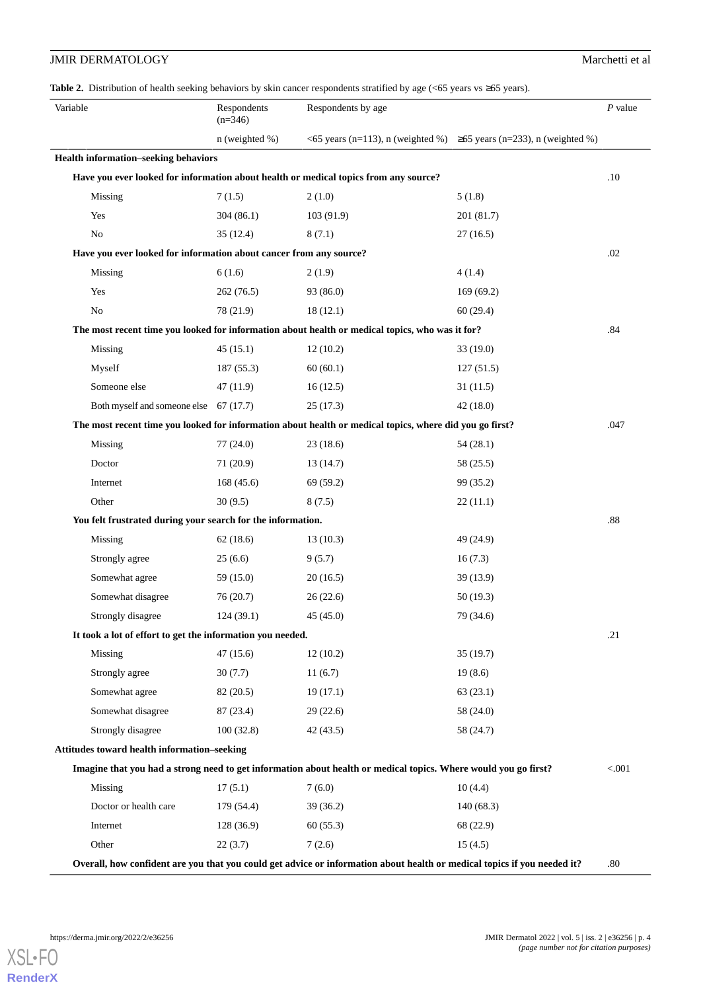<span id="page-3-0"></span>

| <b>JMIR DERMATOLOGY</b>                                            |                          |                                                                                                                                       |                                                                                 | Marchetti et al |
|--------------------------------------------------------------------|--------------------------|---------------------------------------------------------------------------------------------------------------------------------------|---------------------------------------------------------------------------------|-----------------|
|                                                                    |                          | Table 2. Distribution of health seeking behaviors by skin cancer respondents stratified by age ( $\leq$ 65 years vs $\geq$ 65 years). |                                                                                 |                 |
| Variable                                                           | Respondents<br>$(n=346)$ | Respondents by age                                                                                                                    |                                                                                 | $P$ value       |
|                                                                    | $n$ (weighted %)         |                                                                                                                                       | $\leq$ 65 years (n=113), n (weighted %) $\geq$ 65 years (n=233), n (weighted %) |                 |
| <b>Health information-seeking behaviors</b>                        |                          |                                                                                                                                       |                                                                                 |                 |
|                                                                    |                          | Have you ever looked for information about health or medical topics from any source?                                                  |                                                                                 | .10             |
| Missing                                                            | 7(1.5)                   | 2(1.0)                                                                                                                                | 5(1.8)                                                                          |                 |
| Yes                                                                | 304(86.1)                | 103(91.9)                                                                                                                             | 201 (81.7)                                                                      |                 |
| No                                                                 | 35(12.4)                 | 8(7.1)                                                                                                                                | 27(16.5)                                                                        |                 |
| Have you ever looked for information about cancer from any source? |                          |                                                                                                                                       |                                                                                 | .02             |
| Missing                                                            | 6(1.6)                   | 2(1.9)                                                                                                                                | 4(1.4)                                                                          |                 |
| Yes                                                                | 262(76.5)                | 93 (86.0)                                                                                                                             | 169(69.2)                                                                       |                 |
| N <sub>0</sub>                                                     | 78 (21.9)                | 18(12.1)                                                                                                                              | 60(29.4)                                                                        |                 |
|                                                                    |                          | The most recent time you looked for information about health or medical topics, who was it for?                                       |                                                                                 | .84             |
| Missing                                                            | 45(15.1)                 | 12(10.2)                                                                                                                              | 33(19.0)                                                                        |                 |
| Myself                                                             | 187(55.3)                | 60(60.1)                                                                                                                              | 127(51.5)                                                                       |                 |
| Someone else                                                       | 47(11.9)                 | 16(12.5)                                                                                                                              | 31(11.5)                                                                        |                 |
| Both myself and someone else 67 (17.7)                             |                          | 25(17.3)                                                                                                                              | 42(18.0)                                                                        |                 |
|                                                                    |                          | The most recent time you looked for information about health or medical topics, where did you go first?                               |                                                                                 | .047            |
| Missing                                                            | 77(24.0)                 | 23(18.6)                                                                                                                              | 54(28.1)                                                                        |                 |
| Doctor                                                             | 71(20.9)                 | 13(14.7)                                                                                                                              | 58 (25.5)                                                                       |                 |
| Internet                                                           | 168(45.6)                | 69(59.2)                                                                                                                              | 99 (35.2)                                                                       |                 |

| Internet                                                   | 168(45.6)                                                   | 69 (59.2) | 99 (35.2)                                                                                                       |         |  |  |
|------------------------------------------------------------|-------------------------------------------------------------|-----------|-----------------------------------------------------------------------------------------------------------------|---------|--|--|
| Other                                                      | 30(9.5)                                                     | 8(7.5)    | 22(11.1)                                                                                                        |         |  |  |
|                                                            | You felt frustrated during your search for the information. |           |                                                                                                                 |         |  |  |
| Missing                                                    | 62(18.6)                                                    | 13(10.3)  | 49 (24.9)                                                                                                       |         |  |  |
| Strongly agree                                             | 25(6.6)                                                     | 9(5.7)    | 16(7.3)                                                                                                         |         |  |  |
| Somewhat agree                                             | 59 (15.0)                                                   | 20(16.5)  | 39 (13.9)                                                                                                       |         |  |  |
| Somewhat disagree                                          | 76(20.7)                                                    | 26(22.6)  | 50(19.3)                                                                                                        |         |  |  |
| Strongly disagree                                          | 124(39.1)                                                   | 45(45.0)  | 79 (34.6)                                                                                                       |         |  |  |
| It took a lot of effort to get the information you needed. |                                                             |           |                                                                                                                 |         |  |  |
| Missing                                                    | 47(15.6)                                                    | 12(10.2)  | 35(19.7)                                                                                                        |         |  |  |
| Strongly agree                                             | 30(7.7)                                                     | 11(6.7)   | 19(8.6)                                                                                                         |         |  |  |
| Somewhat agree                                             | 82 (20.5)                                                   | 19(17.1)  | 63(23.1)                                                                                                        |         |  |  |
| Somewhat disagree                                          | 87 (23.4)                                                   | 29(22.6)  | 58 (24.0)                                                                                                       |         |  |  |
| Strongly disagree                                          | 100(32.8)                                                   | 42(43.5)  | 58 (24.7)                                                                                                       |         |  |  |
| <b>Attitudes toward health information–seeking</b>         |                                                             |           |                                                                                                                 |         |  |  |
|                                                            |                                                             |           | Imagine that you had a strong need to get information about health or medical topics. Where would you go first? | < 0.001 |  |  |
| Missing                                                    | 17(5.1)                                                     | 7(6.0)    | 10(4.4)                                                                                                         |         |  |  |
| Doctor or health care                                      | 179 (54.4)                                                  | 39(36.2)  | 140(68.3)                                                                                                       |         |  |  |

Internet 128 (36.9) 60 (55.3) 68 (22.9)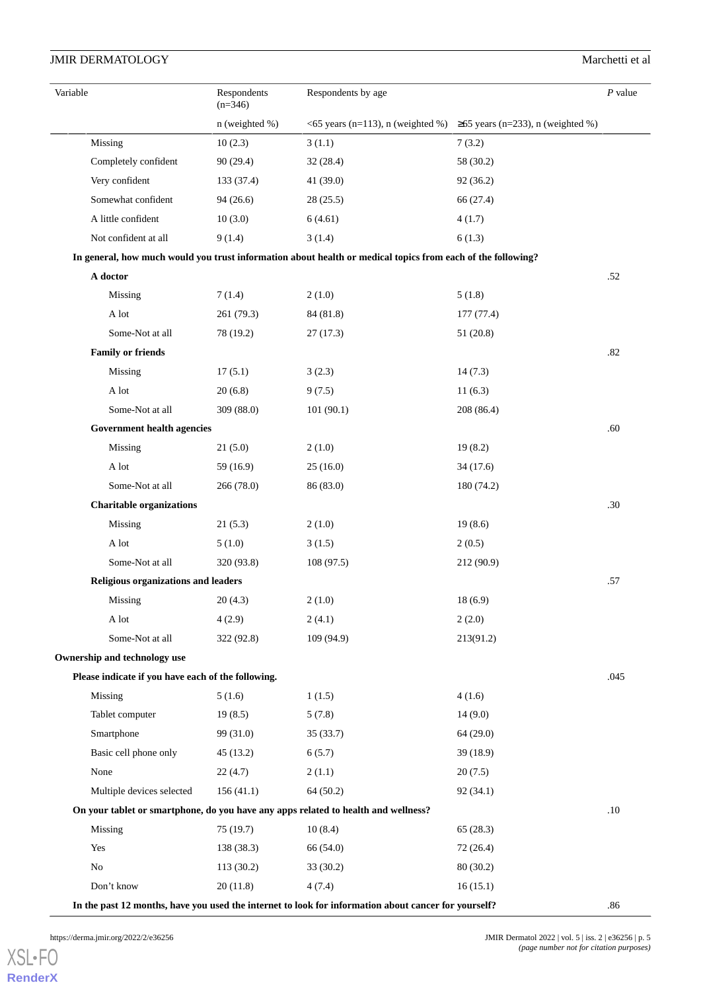| Variable                                           | Respondents<br>$(n=346)$ | Respondents by age                                                                                          |                                                                           | $P$ value |
|----------------------------------------------------|--------------------------|-------------------------------------------------------------------------------------------------------------|---------------------------------------------------------------------------|-----------|
|                                                    | $n$ (weighted %)         |                                                                                                             | <65 years (n=113), n (weighted %) $\geq 65$ years (n=233), n (weighted %) |           |
| Missing                                            | 10(2.3)                  | 3(1.1)                                                                                                      | 7(3.2)                                                                    |           |
| Completely confident                               | 90(29.4)                 | 32(28.4)                                                                                                    | 58 (30.2)                                                                 |           |
| Very confident                                     | 133 (37.4)               | 41 (39.0)                                                                                                   | 92(36.2)                                                                  |           |
| Somewhat confident                                 | 94(26.6)                 | 28(25.5)                                                                                                    | 66 (27.4)                                                                 |           |
| A little confident                                 | 10(3.0)                  | 6(4.61)                                                                                                     | 4(1.7)                                                                    |           |
| Not confident at all                               | 9(1.4)                   | 3(1.4)                                                                                                      | 6(1.3)                                                                    |           |
|                                                    |                          | In general, how much would you trust information about health or medical topics from each of the following? |                                                                           |           |
| A doctor                                           |                          |                                                                                                             |                                                                           | .52       |
| Missing                                            | 7(1.4)                   | 2(1.0)                                                                                                      | 5(1.8)                                                                    |           |
| A lot                                              | 261 (79.3)               | 84 (81.8)                                                                                                   | 177 (77.4)                                                                |           |
| Some-Not at all                                    | 78 (19.2)                | 27(17.3)                                                                                                    | 51 (20.8)                                                                 |           |
| <b>Family or friends</b>                           |                          |                                                                                                             |                                                                           | .82       |
| Missing                                            | 17(5.1)                  | 3(2.3)                                                                                                      | 14(7.3)                                                                   |           |
| A lot                                              | 20(6.8)                  | 9(7.5)                                                                                                      | 11(6.3)                                                                   |           |
| Some-Not at all                                    | 309 (88.0)               | 101(90.1)                                                                                                   | 208 (86.4)                                                                |           |
| <b>Government health agencies</b>                  |                          |                                                                                                             |                                                                           | .60       |
| Missing                                            | 21(5.0)                  | 2(1.0)                                                                                                      | 19(8.2)                                                                   |           |
| A lot                                              | 59 (16.9)                | 25(16.0)                                                                                                    | 34(17.6)                                                                  |           |
| Some-Not at all                                    | 266(78.0)                | 86 (83.0)                                                                                                   | 180 (74.2)                                                                |           |
| <b>Charitable organizations</b>                    |                          |                                                                                                             |                                                                           | .30       |
| Missing                                            | 21(5.3)                  | 2(1.0)                                                                                                      | 19(8.6)                                                                   |           |
| A lot                                              | 5(1.0)                   | 3(1.5)                                                                                                      | 2(0.5)                                                                    |           |
| Some-Not at all                                    | 320 (93.8)               | 108(97.5)                                                                                                   | 212 (90.9)                                                                |           |
| <b>Religious organizations and leaders</b>         |                          |                                                                                                             |                                                                           | .57       |
| Missing                                            | 20(4.3)                  | 2(1.0)                                                                                                      | 18(6.9)                                                                   |           |
| A lot                                              | 4(2.9)                   | 2(4.1)                                                                                                      | 2(2.0)                                                                    |           |
| Some-Not at all                                    | 322(92.8)                | 109(94.9)                                                                                                   | 213(91.2)                                                                 |           |
| Ownership and technology use                       |                          |                                                                                                             |                                                                           |           |
| Please indicate if you have each of the following. |                          |                                                                                                             |                                                                           | .045      |
| Missing                                            | 5(1.6)                   | 1(1.5)                                                                                                      | 4(1.6)                                                                    |           |
| Tablet computer                                    | 19(8.5)                  | 5(7.8)                                                                                                      | 14(9.0)                                                                   |           |
| Smartphone                                         | 99 (31.0)                | 35(33.7)                                                                                                    | 64(29.0)                                                                  |           |
| Basic cell phone only                              | 45(13.2)                 | 6(5.7)                                                                                                      | 39 (18.9)                                                                 |           |
| None                                               | 22(4.7)                  | 2(1.1)                                                                                                      | 20(7.5)                                                                   |           |
| Multiple devices selected                          | 156(41.1)                | 64(50.2)                                                                                                    | 92(34.1)                                                                  |           |
|                                                    |                          | On your tablet or smartphone, do you have any apps related to health and wellness?                          |                                                                           | .10       |
| Missing                                            | 75(19.7)                 | 10(8.4)                                                                                                     | 65(28.3)                                                                  |           |
| Yes                                                | 138 (38.3)               | 66 (54.0)                                                                                                   | 72 (26.4)                                                                 |           |
| No                                                 | 113(30.2)                | 33 (30.2)                                                                                                   | 80(30.2)                                                                  |           |
| Don't know                                         | 20(11.8)                 | 4(7.4)                                                                                                      | 16(15.1)                                                                  |           |
|                                                    |                          | In the past 12 months, have you used the internet to look for information about cancer for yourself?        |                                                                           | .86       |

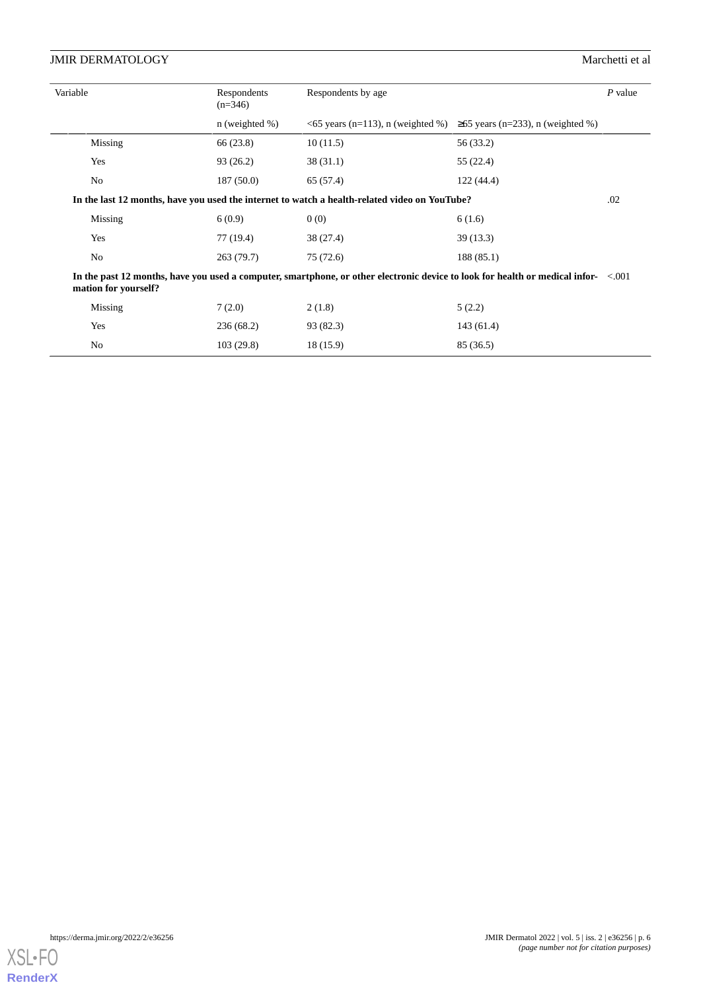| Variable                                                                                                                                                   | Respondents<br>$(n=346)$                                                                             | Respondents by age |                                                                                     |  |  |  |
|------------------------------------------------------------------------------------------------------------------------------------------------------------|------------------------------------------------------------------------------------------------------|--------------------|-------------------------------------------------------------------------------------|--|--|--|
|                                                                                                                                                            | $n$ (weighted %)                                                                                     |                    | $\leq$ 0.65 years (n=113), n (weighted %) $\geq$ 0.65 years (n=233), n (weighted %) |  |  |  |
| Missing                                                                                                                                                    | 66 (23.8)                                                                                            | 10(11.5)           | 56 (33.2)                                                                           |  |  |  |
| Yes                                                                                                                                                        | 93(26.2)                                                                                             | 38(31.1)           | 55 (22.4)                                                                           |  |  |  |
| No                                                                                                                                                         | 187(50.0)                                                                                            | 65 (57.4)          | 122(44.4)                                                                           |  |  |  |
|                                                                                                                                                            | In the last 12 months, have you used the internet to watch a health-related video on YouTube?<br>.02 |                    |                                                                                     |  |  |  |
| Missing                                                                                                                                                    | 6(0.9)                                                                                               | 0(0)               | 6(1.6)                                                                              |  |  |  |
| Yes                                                                                                                                                        | 77 (19.4)                                                                                            | 38 (27.4)          | 39(13.3)                                                                            |  |  |  |
| No                                                                                                                                                         | 263(79.7)                                                                                            | 75(72.6)           | 188(85.1)                                                                           |  |  |  |
| In the past 12 months, have you used a computer, smartphone, or other electronic device to look for health or medical infor- <.001<br>mation for yourself? |                                                                                                      |                    |                                                                                     |  |  |  |
| Missing                                                                                                                                                    | 7(2.0)                                                                                               | 2(1.8)             | 5(2.2)                                                                              |  |  |  |
| Yes                                                                                                                                                        | 236(68.2)                                                                                            | 93 (82.3)          | 143(61.4)                                                                           |  |  |  |
| No                                                                                                                                                         | 103(29.8)                                                                                            | 18 (15.9)          | 85 (36.5)                                                                           |  |  |  |

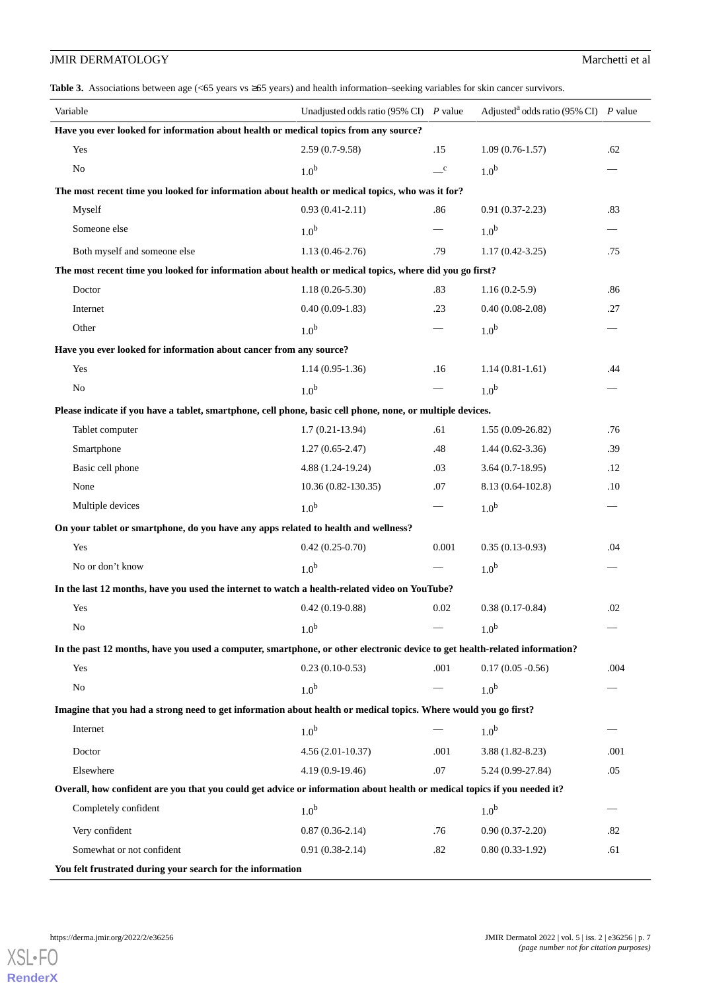<span id="page-6-0"></span>**Table 3.** Associations between age (<65 years vs ≥65 years) and health information–seeking variables for skin cancer survivors.

| Variable                                                                                                                   | Unadjusted odds ratio (95% CI) $P$ value |                          | Adjusted <sup>a</sup> odds ratio (95% CI) P value |      |  |  |
|----------------------------------------------------------------------------------------------------------------------------|------------------------------------------|--------------------------|---------------------------------------------------|------|--|--|
| Have you ever looked for information about health or medical topics from any source?                                       |                                          |                          |                                                   |      |  |  |
| Yes                                                                                                                        | $2.59(0.7-9.58)$                         | .15                      | $1.09(0.76-1.57)$                                 | .62  |  |  |
| No                                                                                                                         | 1.0 <sup>b</sup>                         | $\mathbf{C}$             | 1.0 <sup>b</sup>                                  |      |  |  |
| The most recent time you looked for information about health or medical topics, who was it for?                            |                                          |                          |                                                   |      |  |  |
| Myself                                                                                                                     | $0.93(0.41-2.11)$                        | .86                      | $0.91(0.37-2.23)$                                 | .83  |  |  |
| Someone else                                                                                                               | 1.0 <sup>b</sup>                         |                          | 1.0 <sup>b</sup>                                  |      |  |  |
| Both myself and someone else                                                                                               | $1.13(0.46-2.76)$                        | .79                      | $1.17(0.42 - 3.25)$                               | .75  |  |  |
| The most recent time you looked for information about health or medical topics, where did you go first?                    |                                          |                          |                                                   |      |  |  |
| Doctor                                                                                                                     | $1.18(0.26 - 5.30)$                      | .83                      | $1.16(0.2-5.9)$                                   | .86  |  |  |
| Internet                                                                                                                   | $0.40(0.09-1.83)$                        | .23                      | $0.40(0.08-2.08)$                                 | .27  |  |  |
| Other                                                                                                                      | 1.0 <sup>b</sup>                         |                          | 1.0 <sup>b</sup>                                  |      |  |  |
| Have you ever looked for information about cancer from any source?                                                         |                                          |                          |                                                   |      |  |  |
| Yes                                                                                                                        | $1.14(0.95-1.36)$                        | .16                      | $1.14(0.81-1.61)$                                 | .44  |  |  |
| No                                                                                                                         | 1.0 <sup>b</sup>                         | $\overline{\phantom{0}}$ | 1.0 <sup>b</sup>                                  |      |  |  |
| Please indicate if you have a tablet, smartphone, cell phone, basic cell phone, none, or multiple devices.                 |                                          |                          |                                                   |      |  |  |
| Tablet computer                                                                                                            | $1.7(0.21-13.94)$                        | .61                      | $1.55(0.09-26.82)$                                | .76  |  |  |
| Smartphone                                                                                                                 | $1.27(0.65-2.47)$                        | .48                      | $1.44(0.62 - 3.36)$                               | .39  |  |  |
| Basic cell phone                                                                                                           | 4.88 (1.24-19.24)                        | .03                      | $3.64(0.7-18.95)$                                 | .12  |  |  |
| None                                                                                                                       | 10.36 (0.82-130.35)                      | .07                      | 8.13 (0.64-102.8)                                 | .10  |  |  |
| Multiple devices                                                                                                           | 1.0 <sup>b</sup>                         |                          | 1.0 <sup>b</sup>                                  |      |  |  |
| On your tablet or smartphone, do you have any apps related to health and wellness?                                         |                                          |                          |                                                   |      |  |  |
| Yes                                                                                                                        | $0.42(0.25-0.70)$                        | 0.001                    | $0.35(0.13-0.93)$                                 | .04  |  |  |
| No or don't know                                                                                                           | 1.0 <sup>b</sup>                         |                          | 1.0 <sup>b</sup>                                  |      |  |  |
| In the last 12 months, have you used the internet to watch a health-related video on YouTube?                              |                                          |                          |                                                   |      |  |  |
| Yes                                                                                                                        | $0.42(0.19-0.88)$                        | 0.02                     | $0.38(0.17-0.84)$                                 | .02  |  |  |
| No                                                                                                                         | 1.0 <sup>b</sup>                         |                          | 1.0 <sup>b</sup>                                  |      |  |  |
| In the past 12 months, have you used a computer, smartphone, or other electronic device to get health-related information? |                                          |                          |                                                   |      |  |  |
| Yes                                                                                                                        | $0.23(0.10-0.53)$                        | .001                     | $0.17(0.05 - 0.56)$                               | .004 |  |  |
| $\rm No$                                                                                                                   | 1.0 <sup>b</sup>                         |                          | 1.0 <sup>b</sup>                                  |      |  |  |
| Imagine that you had a strong need to get information about health or medical topics. Where would you go first?            |                                          |                          |                                                   |      |  |  |
| Internet                                                                                                                   | 1.0 <sup>b</sup>                         |                          | 1.0 <sup>b</sup>                                  |      |  |  |
| Doctor                                                                                                                     | $4.56(2.01-10.37)$                       | .001                     | $3.88(1.82 - 8.23)$                               | .001 |  |  |
| Elsewhere                                                                                                                  | $4.19(0.9-19.46)$                        | .07                      | 5.24 (0.99-27.84)                                 | .05  |  |  |
| Overall, how confident are you that you could get advice or information about health or medical topics if you needed it?   |                                          |                          |                                                   |      |  |  |
| Completely confident                                                                                                       | 1.0 <sup>b</sup>                         |                          | 1.0 <sup>b</sup>                                  |      |  |  |
| Very confident                                                                                                             | $0.87(0.36-2.14)$                        | .76                      | $0.90(0.37-2.20)$                                 | .82  |  |  |
| Somewhat or not confident                                                                                                  | $0.91(0.38-2.14)$                        | .82                      | $0.80(0.33-1.92)$                                 | .61  |  |  |
| You felt frustrated during your search for the information                                                                 |                                          |                          |                                                   |      |  |  |

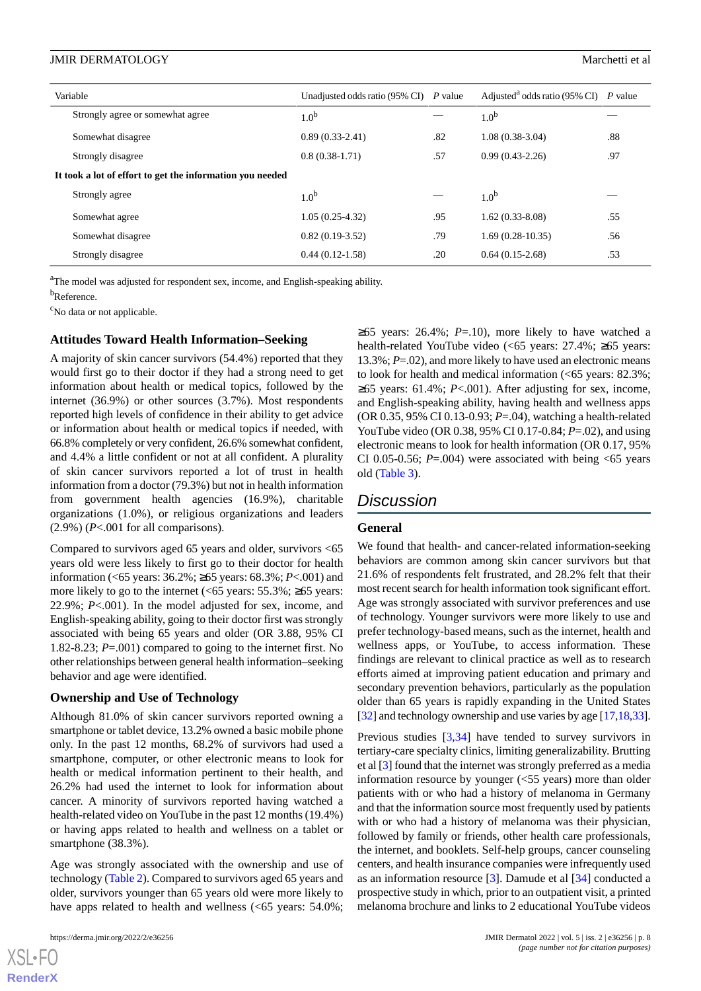|                                                           | Variable                         | Unadjusted odds ratio (95% CI) $P$ value |     | Adjusted <sup>a</sup> odds ratio (95% CI) P value |     |
|-----------------------------------------------------------|----------------------------------|------------------------------------------|-----|---------------------------------------------------|-----|
|                                                           | Strongly agree or somewhat agree | 1.0 <sup>b</sup>                         |     | 1.0 <sup>b</sup>                                  |     |
|                                                           | Somewhat disagree                | $0.89(0.33-2.41)$                        | .82 | $1.08(0.38-3.04)$                                 | .88 |
|                                                           | Strongly disagree                | $0.8(0.38-1.71)$                         | .57 | $0.99(0.43-2.26)$                                 | .97 |
| It took a lot of effort to get the information you needed |                                  |                                          |     |                                                   |     |
|                                                           | Strongly agree                   | 1.0 <sup>b</sup>                         |     | 1.0 <sup>b</sup>                                  |     |
|                                                           | Somewhat agree                   | $1.05(0.25-4.32)$                        | .95 | $1.62(0.33-8.08)$                                 | .55 |
|                                                           | Somewhat disagree                | $0.82(0.19-3.52)$                        | .79 | $1.69(0.28-10.35)$                                | .56 |
|                                                           | Strongly disagree                | $0.44(0.12-1.58)$                        | .20 | $0.64(0.15-2.68)$                                 | .53 |

<sup>a</sup>The model was adjusted for respondent sex, income, and English-speaking ability.

b<sub>Reference.</sub>

<sup>c</sup>No data or not applicable.

#### **Attitudes Toward Health Information–Seeking**

A majority of skin cancer survivors (54.4%) reported that they would first go to their doctor if they had a strong need to get information about health or medical topics, followed by the internet (36.9%) or other sources (3.7%). Most respondents reported high levels of confidence in their ability to get advice or information about health or medical topics if needed, with 66.8% completely or very confident, 26.6% somewhat confident, and 4.4% a little confident or not at all confident. A plurality of skin cancer survivors reported a lot of trust in health information from a doctor (79.3%) but not in health information from government health agencies (16.9%), charitable organizations (1.0%), or religious organizations and leaders  $(2.9\%)$  ( $P<.001$  for all comparisons).

Compared to survivors aged 65 years and older, survivors <65 years old were less likely to first go to their doctor for health information (<65 years: 36.2%; ≥65 years: 68.3%; *P*<.001) and more likely to go to the internet  $\left( \langle 65 \rangle \right)$  years: 55.3%; ≥65 years: 22.9%; *P*<.001). In the model adjusted for sex, income, and English-speaking ability, going to their doctor first was strongly associated with being 65 years and older (OR 3.88, 95% CI 1.82-8.23; *P*=.001) compared to going to the internet first. No other relationships between general health information–seeking behavior and age were identified.

#### **Ownership and Use of Technology**

Although 81.0% of skin cancer survivors reported owning a smartphone or tablet device, 13.2% owned a basic mobile phone only. In the past 12 months, 68.2% of survivors had used a smartphone, computer, or other electronic means to look for health or medical information pertinent to their health, and 26.2% had used the internet to look for information about cancer. A minority of survivors reported having watched a health-related video on YouTube in the past 12 months (19.4%) or having apps related to health and wellness on a tablet or smartphone (38.3%).

Age was strongly associated with the ownership and use of technology [\(Table 2](#page-3-0)). Compared to survivors aged 65 years and older, survivors younger than 65 years old were more likely to have apps related to health and wellness (<65 years: 54.0%;

[XSL](http://www.w3.org/Style/XSL)•FO **[RenderX](http://www.renderx.com/)**

 $\geq 65$  years: 26.4%; *P*=.10), more likely to have watched a health-related YouTube video (<65 years: 27.4%; ≥65 years: 13.3%; *P*=.02), and more likely to have used an electronic means to look for health and medical information  $\left( \langle 65 \rangle \right)$  years: 82.3%; ≥65 years: 61.4%; *P*<.001). After adjusting for sex, income, and English-speaking ability, having health and wellness apps (OR 0.35, 95% CI 0.13-0.93; *P*=.04), watching a health-related YouTube video (OR 0.38, 95% CI 0.17-0.84; *P*=.02), and using electronic means to look for health information (OR 0.17, 95% CI 0.05-0.56;  $P = .004$ ) were associated with being  $< 65$  years old [\(Table 3\)](#page-6-0).

## *Discussion*

#### **General**

We found that health- and cancer-related information-seeking behaviors are common among skin cancer survivors but that 21.6% of respondents felt frustrated, and 28.2% felt that their most recent search for health information took significant effort. Age was strongly associated with survivor preferences and use of technology. Younger survivors were more likely to use and prefer technology-based means, such as the internet, health and wellness apps, or YouTube, to access information. These findings are relevant to clinical practice as well as to research efforts aimed at improving patient education and primary and secondary prevention behaviors, particularly as the population older than 65 years is rapidly expanding in the United States [[32\]](#page-10-6) and technology ownership and use varies by age [[17,](#page-9-11)[18](#page-9-12)[,33](#page-10-7)].

Previous studies [\[3](#page-9-5),[34\]](#page-10-8) have tended to survey survivors in tertiary-care specialty clinics, limiting generalizability. Brutting et al [\[3\]](#page-9-5) found that the internet was strongly preferred as a media information resource by younger (<55 years) more than older patients with or who had a history of melanoma in Germany and that the information source most frequently used by patients with or who had a history of melanoma was their physician, followed by family or friends, other health care professionals, the internet, and booklets. Self-help groups, cancer counseling centers, and health insurance companies were infrequently used as an information resource [\[3](#page-9-5)]. Damude et al [[34\]](#page-10-8) conducted a prospective study in which, prior to an outpatient visit, a printed melanoma brochure and links to 2 educational YouTube videos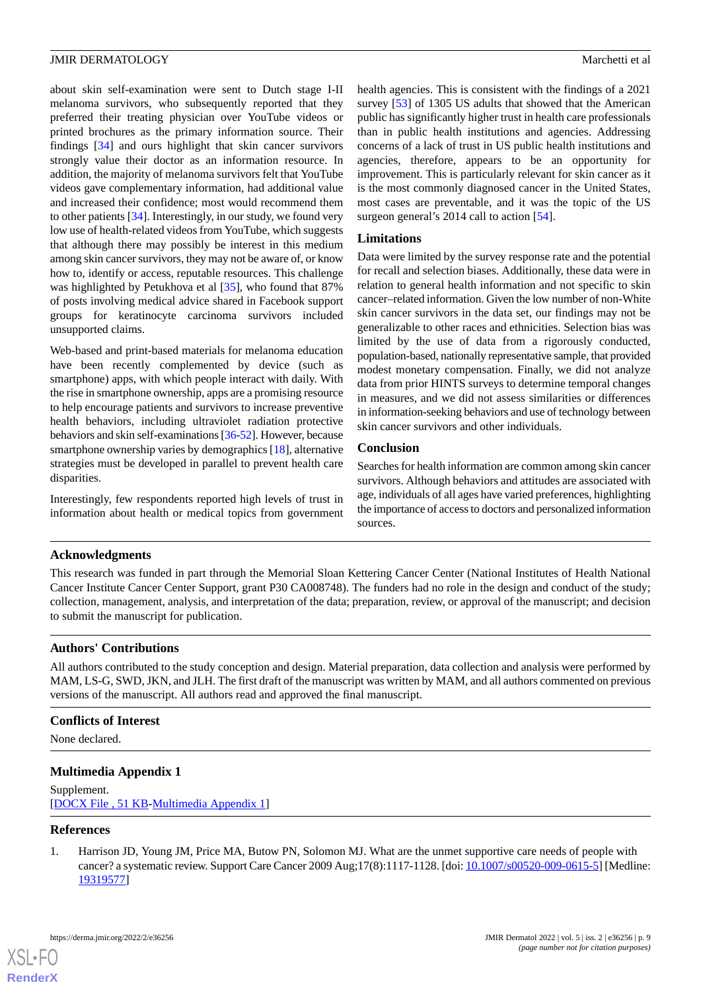about skin self-examination were sent to Dutch stage I-II melanoma survivors, who subsequently reported that they preferred their treating physician over YouTube videos or printed brochures as the primary information source. Their findings [\[34](#page-10-8)] and ours highlight that skin cancer survivors strongly value their doctor as an information resource. In addition, the majority of melanoma survivors felt that YouTube videos gave complementary information, had additional value and increased their confidence; most would recommend them to other patients [[34\]](#page-10-8). Interestingly, in our study, we found very low use of health-related videos from YouTube, which suggests that although there may possibly be interest in this medium among skin cancer survivors, they may not be aware of, or know how to, identify or access, reputable resources. This challenge was highlighted by Petukhova et al [\[35](#page-10-9)], who found that 87% of posts involving medical advice shared in Facebook support groups for keratinocyte carcinoma survivors included unsupported claims.

Web-based and print-based materials for melanoma education have been recently complemented by device (such as smartphone) apps, with which people interact with daily. With the rise in smartphone ownership, apps are a promising resource to help encourage patients and survivors to increase preventive health behaviors, including ultraviolet radiation protective behaviors and skin self-examinations [\[36-](#page-10-10)[52\]](#page-11-0). However, because smartphone ownership varies by demographics [\[18](#page-9-12)], alternative strategies must be developed in parallel to prevent health care disparities.

Interestingly, few respondents reported high levels of trust in information about health or medical topics from government health agencies. This is consistent with the findings of a 2021 survey [\[53](#page-11-1)] of 1305 US adults that showed that the American public has significantly higher trust in health care professionals than in public health institutions and agencies. Addressing concerns of a lack of trust in US public health institutions and agencies, therefore, appears to be an opportunity for improvement. This is particularly relevant for skin cancer as it is the most commonly diagnosed cancer in the United States, most cases are preventable, and it was the topic of the US surgeon general's 2014 call to action [\[54](#page-11-2)].

#### **Limitations**

Data were limited by the survey response rate and the potential for recall and selection biases. Additionally, these data were in relation to general health information and not specific to skin cancer–related information. Given the low number of non-White skin cancer survivors in the data set, our findings may not be generalizable to other races and ethnicities. Selection bias was limited by the use of data from a rigorously conducted, population-based, nationally representative sample, that provided modest monetary compensation. Finally, we did not analyze data from prior HINTS surveys to determine temporal changes in measures, and we did not assess similarities or differences in information-seeking behaviors and use of technology between skin cancer survivors and other individuals.

#### **Conclusion**

Searches for health information are common among skin cancer survivors. Although behaviors and attitudes are associated with age, individuals of all ages have varied preferences, highlighting the importance of access to doctors and personalized information sources.

### **Acknowledgments**

This research was funded in part through the Memorial Sloan Kettering Cancer Center (National Institutes of Health National Cancer Institute Cancer Center Support, grant P30 CA008748). The funders had no role in the design and conduct of the study; collection, management, analysis, and interpretation of the data; preparation, review, or approval of the manuscript; and decision to submit the manuscript for publication.

### **Authors' Contributions**

All authors contributed to the study conception and design. Material preparation, data collection and analysis were performed by MAM, LS-G, SWD, JKN, and JLH. The first draft of the manuscript was written by MAM, and all authors commented on previous versions of the manuscript. All authors read and approved the final manuscript.

### <span id="page-8-1"></span>**Conflicts of Interest**

None declared.

## <span id="page-8-0"></span>**Multimedia Appendix 1**

Supplement. [[DOCX File , 51 KB](https://jmir.org/api/download?alt_name=derma_v5i2e36256_app1.docx&filename=070ae5d4a289392e918f117d653a94cf.docx)-[Multimedia Appendix 1\]](https://jmir.org/api/download?alt_name=derma_v5i2e36256_app1.docx&filename=070ae5d4a289392e918f117d653a94cf.docx)

### **References**

[XSL](http://www.w3.org/Style/XSL)•FO **[RenderX](http://www.renderx.com/)**

1. Harrison JD, Young JM, Price MA, Butow PN, Solomon MJ. What are the unmet supportive care needs of people with cancer? a systematic review. Support Care Cancer 2009 Aug;17(8):1117-1128. [doi: [10.1007/s00520-009-0615-5\]](http://dx.doi.org/10.1007/s00520-009-0615-5) [Medline: [19319577](http://www.ncbi.nlm.nih.gov/entrez/query.fcgi?cmd=Retrieve&db=PubMed&list_uids=19319577&dopt=Abstract)]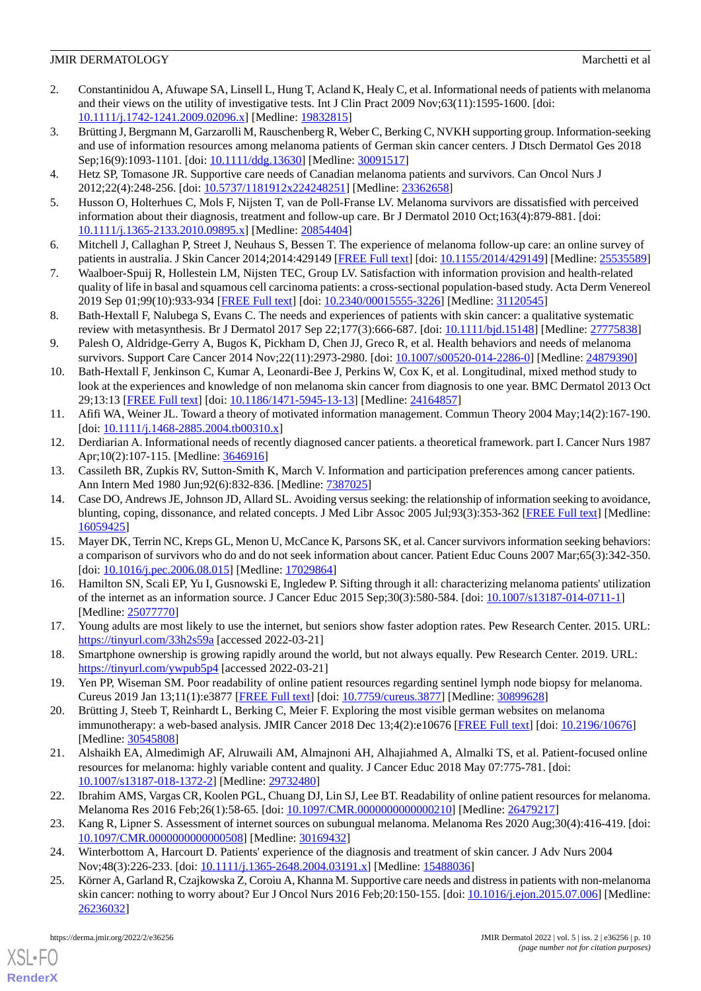- 2. Constantinidou A, Afuwape SA, Linsell L, Hung T, Acland K, Healy C, et al. Informational needs of patients with melanoma and their views on the utility of investigative tests. Int J Clin Pract 2009 Nov;63(11):1595-1600. [doi: [10.1111/j.1742-1241.2009.02096.x\]](http://dx.doi.org/10.1111/j.1742-1241.2009.02096.x) [Medline: [19832815\]](http://www.ncbi.nlm.nih.gov/entrez/query.fcgi?cmd=Retrieve&db=PubMed&list_uids=19832815&dopt=Abstract)
- <span id="page-9-5"></span>3. Brütting J, Bergmann M, Garzarolli M, Rauschenberg R, Weber C, Berking C, NVKH supporting group. Information-seeking and use of information resources among melanoma patients of German skin cancer centers. J Dtsch Dermatol Ges 2018 Sep;16(9):1093-1101. [doi: [10.1111/ddg.13630](http://dx.doi.org/10.1111/ddg.13630)] [Medline: [30091517](http://www.ncbi.nlm.nih.gov/entrez/query.fcgi?cmd=Retrieve&db=PubMed&list_uids=30091517&dopt=Abstract)]
- <span id="page-9-9"></span><span id="page-9-7"></span>4. Hetz SP, Tomasone JR. Supportive care needs of Canadian melanoma patients and survivors. Can Oncol Nurs J 2012;22(4):248-256. [doi: [10.5737/1181912x224248251\]](http://dx.doi.org/10.5737/1181912x224248251) [Medline: [23362658\]](http://www.ncbi.nlm.nih.gov/entrez/query.fcgi?cmd=Retrieve&db=PubMed&list_uids=23362658&dopt=Abstract)
- <span id="page-9-8"></span>5. Husson O, Holterhues C, Mols F, Nijsten T, van de Poll-Franse LV. Melanoma survivors are dissatisfied with perceived information about their diagnosis, treatment and follow-up care. Br J Dermatol 2010 Oct;163(4):879-881. [doi: [10.1111/j.1365-2133.2010.09895.x\]](http://dx.doi.org/10.1111/j.1365-2133.2010.09895.x) [Medline: [20854404\]](http://www.ncbi.nlm.nih.gov/entrez/query.fcgi?cmd=Retrieve&db=PubMed&list_uids=20854404&dopt=Abstract)
- <span id="page-9-15"></span>6. Mitchell J, Callaghan P, Street J, Neuhaus S, Bessen T. The experience of melanoma follow-up care: an online survey of patients in australia. J Skin Cancer 2014;2014:429149 [\[FREE Full text](https://doi.org/10.1155/2014/429149)] [doi: [10.1155/2014/429149](http://dx.doi.org/10.1155/2014/429149)] [Medline: [25535589](http://www.ncbi.nlm.nih.gov/entrez/query.fcgi?cmd=Retrieve&db=PubMed&list_uids=25535589&dopt=Abstract)]
- <span id="page-9-18"></span>7. Waalboer-Spuij R, Hollestein LM, Nijsten TEC, Group LV. Satisfaction with information provision and health-related quality of life in basal and squamous cell carcinoma patients: a cross-sectional population-based study. Acta Derm Venereol 2019 Sep 01;99(10):933-934 [[FREE Full text](https://www.medicaljournals.se/acta/content/abstract/10.2340/00015555-3226)] [doi: [10.2340/00015555-3226](http://dx.doi.org/10.2340/00015555-3226)] [Medline: [31120545\]](http://www.ncbi.nlm.nih.gov/entrez/query.fcgi?cmd=Retrieve&db=PubMed&list_uids=31120545&dopt=Abstract)
- <span id="page-9-0"></span>8. Bath-Hextall F, Nalubega S, Evans C. The needs and experiences of patients with skin cancer: a qualitative systematic review with metasynthesis. Br J Dermatol 2017 Sep 22;177(3):666-687. [doi: [10.1111/bjd.15148\]](http://dx.doi.org/10.1111/bjd.15148) [Medline: [27775838\]](http://www.ncbi.nlm.nih.gov/entrez/query.fcgi?cmd=Retrieve&db=PubMed&list_uids=27775838&dopt=Abstract)
- <span id="page-9-1"></span>9. Palesh O, Aldridge-Gerry A, Bugos K, Pickham D, Chen JJ, Greco R, et al. Health behaviors and needs of melanoma survivors. Support Care Cancer 2014 Nov; 22(11): 2973-2980. [doi: [10.1007/s00520-014-2286-0](http://dx.doi.org/10.1007/s00520-014-2286-0)] [Medline: [24879390](http://www.ncbi.nlm.nih.gov/entrez/query.fcgi?cmd=Retrieve&db=PubMed&list_uids=24879390&dopt=Abstract)]
- 10. Bath-Hextall F, Jenkinson C, Kumar A, Leonardi-Bee J, Perkins W, Cox K, et al. Longitudinal, mixed method study to look at the experiences and knowledge of non melanoma skin cancer from diagnosis to one year. BMC Dermatol 2013 Oct 29;13:13 [[FREE Full text](https://bmcdermatol.biomedcentral.com/articles/10.1186/1471-5945-13-13)] [doi: [10.1186/1471-5945-13-13\]](http://dx.doi.org/10.1186/1471-5945-13-13) [Medline: [24164857\]](http://www.ncbi.nlm.nih.gov/entrez/query.fcgi?cmd=Retrieve&db=PubMed&list_uids=24164857&dopt=Abstract)
- <span id="page-9-3"></span><span id="page-9-2"></span>11. Afifi WA, Weiner JL. Toward a theory of motivated information management. Commun Theory 2004 May;14(2):167-190.  $\left[$ doi:  $\frac{10.1111}{i}$ .1468-2885.2004.tb00310.x]
- <span id="page-9-4"></span>12. Derdiarian A. Informational needs of recently diagnosed cancer patients. a theoretical framework. part I. Cancer Nurs 1987 Apr;10(2):107-115. [Medline: [3646916\]](http://www.ncbi.nlm.nih.gov/entrez/query.fcgi?cmd=Retrieve&db=PubMed&list_uids=3646916&dopt=Abstract)
- 13. Cassileth BR, Zupkis RV, Sutton-Smith K, March V. Information and participation preferences among cancer patients. Ann Intern Med 1980 Jun;92(6):832-836. [Medline: [7387025](http://www.ncbi.nlm.nih.gov/entrez/query.fcgi?cmd=Retrieve&db=PubMed&list_uids=7387025&dopt=Abstract)]
- <span id="page-9-6"></span>14. Case DO, Andrews JE, Johnson JD, Allard SL. Avoiding versus seeking: the relationship of information seeking to avoidance, blunting, coping, dissonance, and related concepts. J Med Libr Assoc 2005 Jul;93(3):353-362 [\[FREE Full text\]](http://europepmc.org/abstract/MED/16059425) [Medline: [16059425](http://www.ncbi.nlm.nih.gov/entrez/query.fcgi?cmd=Retrieve&db=PubMed&list_uids=16059425&dopt=Abstract)]
- <span id="page-9-10"></span>15. Mayer DK, Terrin NC, Kreps GL, Menon U, McCance K, Parsons SK, et al. Cancer survivors information seeking behaviors: a comparison of survivors who do and do not seek information about cancer. Patient Educ Couns 2007 Mar;65(3):342-350. [doi: [10.1016/j.pec.2006.08.015\]](http://dx.doi.org/10.1016/j.pec.2006.08.015) [Medline: [17029864\]](http://www.ncbi.nlm.nih.gov/entrez/query.fcgi?cmd=Retrieve&db=PubMed&list_uids=17029864&dopt=Abstract)
- <span id="page-9-12"></span><span id="page-9-11"></span>16. Hamilton SN, Scali EP, Yu I, Gusnowski E, Ingledew P. Sifting through it all: characterizing melanoma patients' utilization of the internet as an information source. J Cancer Educ 2015 Sep;30(3):580-584. [doi: [10.1007/s13187-014-0711-1\]](http://dx.doi.org/10.1007/s13187-014-0711-1) [Medline: [25077770](http://www.ncbi.nlm.nih.gov/entrez/query.fcgi?cmd=Retrieve&db=PubMed&list_uids=25077770&dopt=Abstract)]
- <span id="page-9-13"></span>17. Young adults are most likely to use the internet, but seniors show faster adoption rates. Pew Research Center. 2015. URL: [https://tinyurl.com/33h2s59a](https://www.pewresearch.org/internet/chart/young-adults-are-most-likely-to-use-the-internet-but-seniors-show-faster-adoption-rates/) [accessed 2022-03-21]
- 18. Smartphone ownership is growing rapidly around the world, but not always equally. Pew Research Center. 2019. URL: [https://tinyurl.com/ywpub5p4](https://www.pewresearch.org/global/2019/02/05/smartphone-ownership-is-growing-rapidly-around-the-world-but-not-always-equally/) [accessed 2022-03-21]
- 19. Yen PP, Wiseman SM. Poor readability of online patient resources regarding sentinel lymph node biopsy for melanoma. Cureus 2019 Jan 13;11(1):e3877 [\[FREE Full text\]](http://europepmc.org/abstract/MED/30899628) [doi: [10.7759/cureus.3877\]](http://dx.doi.org/10.7759/cureus.3877) [Medline: [30899628](http://www.ncbi.nlm.nih.gov/entrez/query.fcgi?cmd=Retrieve&db=PubMed&list_uids=30899628&dopt=Abstract)]
- 20. Brütting J, Steeb T, Reinhardt L, Berking C, Meier F. Exploring the most visible german websites on melanoma immunotherapy: a web-based analysis. JMIR Cancer 2018 Dec 13;4(2):e10676 [\[FREE Full text\]](https://cancer.jmir.org/2018/2/e10676/) [doi: [10.2196/10676](http://dx.doi.org/10.2196/10676)] [Medline: [30545808](http://www.ncbi.nlm.nih.gov/entrez/query.fcgi?cmd=Retrieve&db=PubMed&list_uids=30545808&dopt=Abstract)]
- <span id="page-9-16"></span><span id="page-9-14"></span>21. Alshaikh EA, Almedimigh AF, Alruwaili AM, Almajnoni AH, Alhajiahmed A, Almalki TS, et al. Patient-focused online resources for melanoma: highly variable content and quality. J Cancer Educ 2018 May 07:775-781. [doi: [10.1007/s13187-018-1372-2\]](http://dx.doi.org/10.1007/s13187-018-1372-2) [Medline: [29732480](http://www.ncbi.nlm.nih.gov/entrez/query.fcgi?cmd=Retrieve&db=PubMed&list_uids=29732480&dopt=Abstract)]
- <span id="page-9-17"></span>22. Ibrahim AMS, Vargas CR, Koolen PGL, Chuang DJ, Lin SJ, Lee BT. Readability of online patient resources for melanoma. Melanoma Res 2016 Feb;26(1):58-65. [doi: [10.1097/CMR.0000000000000210\]](http://dx.doi.org/10.1097/CMR.0000000000000210) [Medline: [26479217\]](http://www.ncbi.nlm.nih.gov/entrez/query.fcgi?cmd=Retrieve&db=PubMed&list_uids=26479217&dopt=Abstract)
- 23. Kang R, Lipner S. Assessment of internet sources on subungual melanoma. Melanoma Res 2020 Aug;30(4):416-419. [doi: [10.1097/CMR.0000000000000508](http://dx.doi.org/10.1097/CMR.0000000000000508)] [Medline: [30169432](http://www.ncbi.nlm.nih.gov/entrez/query.fcgi?cmd=Retrieve&db=PubMed&list_uids=30169432&dopt=Abstract)]
- 24. Winterbottom A, Harcourt D. Patients' experience of the diagnosis and treatment of skin cancer. J Adv Nurs 2004 Nov;48(3):226-233. [doi: [10.1111/j.1365-2648.2004.03191.x\]](http://dx.doi.org/10.1111/j.1365-2648.2004.03191.x) [Medline: [15488036\]](http://www.ncbi.nlm.nih.gov/entrez/query.fcgi?cmd=Retrieve&db=PubMed&list_uids=15488036&dopt=Abstract)
- 25. Körner A, Garland R, Czajkowska Z, Coroiu A, Khanna M. Supportive care needs and distress in patients with non-melanoma skin cancer: nothing to worry about? Eur J Oncol Nurs 2016 Feb;20:150-155. [doi: [10.1016/j.ejon.2015.07.006\]](http://dx.doi.org/10.1016/j.ejon.2015.07.006) [Medline: [26236032](http://www.ncbi.nlm.nih.gov/entrez/query.fcgi?cmd=Retrieve&db=PubMed&list_uids=26236032&dopt=Abstract)]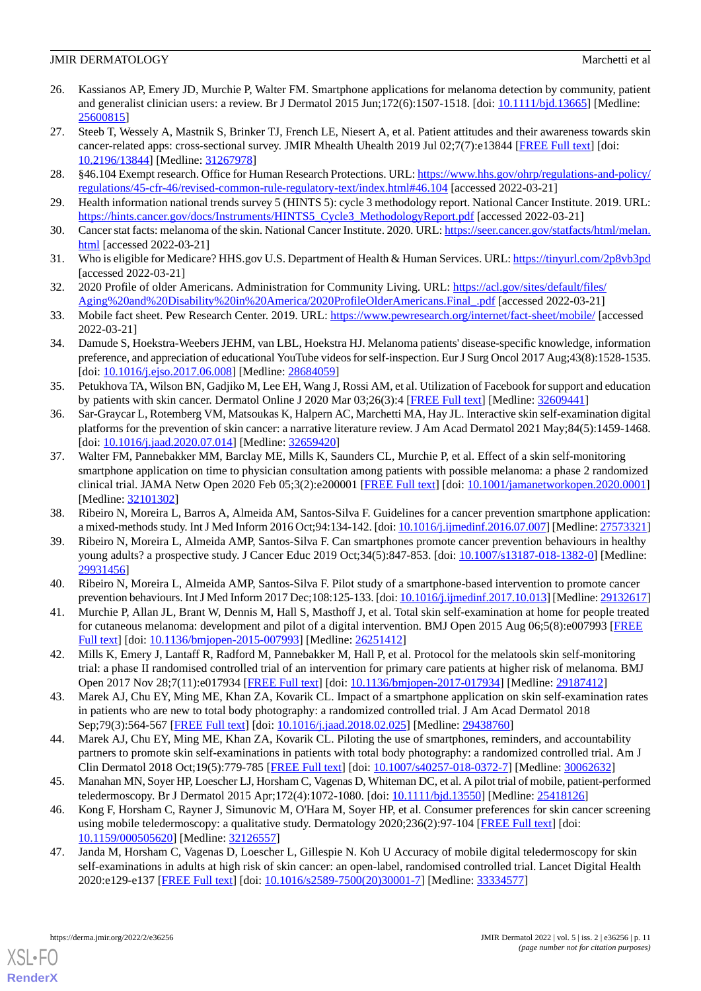- <span id="page-10-0"></span>26. Kassianos AP, Emery JD, Murchie P, Walter FM. Smartphone applications for melanoma detection by community, patient and generalist clinician users: a review. Br J Dermatol 2015 Jun;172(6):1507-1518. [doi: [10.1111/bjd.13665\]](http://dx.doi.org/10.1111/bjd.13665) [Medline: [25600815](http://www.ncbi.nlm.nih.gov/entrez/query.fcgi?cmd=Retrieve&db=PubMed&list_uids=25600815&dopt=Abstract)]
- <span id="page-10-1"></span>27. Steeb T, Wessely A, Mastnik S, Brinker TJ, French LE, Niesert A, et al. Patient attitudes and their awareness towards skin cancer-related apps: cross-sectional survey. JMIR Mhealth Uhealth 2019 Jul 02;7(7):e13844 [\[FREE Full text\]](https://mhealth.jmir.org/2019/7/e13844/) [doi: [10.2196/13844\]](http://dx.doi.org/10.2196/13844) [Medline: [31267978\]](http://www.ncbi.nlm.nih.gov/entrez/query.fcgi?cmd=Retrieve&db=PubMed&list_uids=31267978&dopt=Abstract)
- <span id="page-10-3"></span><span id="page-10-2"></span>28. §46.104 Exempt research. Office for Human Research Protections. URL: [https://www.hhs.gov/ohrp/regulations-and-policy/](https://www.hhs.gov/ohrp/regulations-and-policy/regulations/45-cfr-46/revised-common-rule-regulatory-text/index.html#46.104) [regulations/45-cfr-46/revised-common-rule-regulatory-text/index.html#46.104](https://www.hhs.gov/ohrp/regulations-and-policy/regulations/45-cfr-46/revised-common-rule-regulatory-text/index.html#46.104) [accessed 2022-03-21]
- <span id="page-10-4"></span>29. Health information national trends survey 5 (HINTS 5): cycle 3 methodology report. National Cancer Institute. 2019. URL: [https://hints.cancer.gov/docs/Instruments/HINTS5\\_Cycle3\\_MethodologyReport.pdf](https://hints.cancer.gov/docs/Instruments/HINTS5_Cycle3_MethodologyReport.pdf) [accessed 2022-03-21]
- <span id="page-10-5"></span>30. Cancer stat facts: melanoma of the skin. National Cancer Institute. 2020. URL: [https://seer.cancer.gov/statfacts/html/melan.](https://seer.cancer.gov/statfacts/html/melan.html) [html](https://seer.cancer.gov/statfacts/html/melan.html) [accessed 2022-03-21]
- <span id="page-10-6"></span>31. Who is eligible for Medicare? HHS.gov U.S. Department of Health & Human Services. URL: [https://tinyurl.com/2p8vb3pd](https://www.hhs.gov/answers/medicare-and-medicaid/who-is-elibible-for-medicare/index.html#:~:text=Generally%2C%20Medicare%20is%20available%20for,failure%20requiring%20dialysis%20or%20transplant)) [accessed 2022-03-21]
- <span id="page-10-7"></span>32. 2020 Profile of older Americans. Administration for Community Living. URL: [https://acl.gov/sites/default/files/](https://acl.gov/sites/default/files/Aging%20and%20Disability%20in%20America/2020ProfileOlderAmericans.Final_.pdf) [Aging%20and%20Disability%20in%20America/2020ProfileOlderAmericans.Final\\_.pdf](https://acl.gov/sites/default/files/Aging%20and%20Disability%20in%20America/2020ProfileOlderAmericans.Final_.pdf) [accessed 2022-03-21]
- <span id="page-10-8"></span>33. Mobile fact sheet. Pew Research Center. 2019. URL: <https://www.pewresearch.org/internet/fact-sheet/mobile/> [accessed 2022-03-21]
- <span id="page-10-9"></span>34. Damude S, Hoekstra-Weebers JEHM, van LBL, Hoekstra HJ. Melanoma patients' disease-specific knowledge, information preference, and appreciation of educational YouTube videos for self-inspection. Eur J Surg Oncol 2017 Aug;43(8):1528-1535. [doi: [10.1016/j.ejso.2017.06.008](http://dx.doi.org/10.1016/j.ejso.2017.06.008)] [Medline: [28684059\]](http://www.ncbi.nlm.nih.gov/entrez/query.fcgi?cmd=Retrieve&db=PubMed&list_uids=28684059&dopt=Abstract)
- <span id="page-10-10"></span>35. Petukhova TA, Wilson BN, Gadjiko M, Lee EH, Wang J, Rossi AM, et al. Utilization of Facebook for support and education by patients with skin cancer. Dermatol Online J 2020 Mar 03;26(3):4 [[FREE Full text](http://escholarship.org/uc/item/27k6w5b2)] [Medline: [32609441\]](http://www.ncbi.nlm.nih.gov/entrez/query.fcgi?cmd=Retrieve&db=PubMed&list_uids=32609441&dopt=Abstract)
- 36. Sar-Graycar L, Rotemberg VM, Matsoukas K, Halpern AC, Marchetti MA, Hay JL. Interactive skin self-examination digital platforms for the prevention of skin cancer: a narrative literature review. J Am Acad Dermatol 2021 May;84(5):1459-1468. [doi: [10.1016/j.jaad.2020.07.014\]](http://dx.doi.org/10.1016/j.jaad.2020.07.014) [Medline: [32659420](http://www.ncbi.nlm.nih.gov/entrez/query.fcgi?cmd=Retrieve&db=PubMed&list_uids=32659420&dopt=Abstract)]
- 37. Walter FM, Pannebakker MM, Barclay ME, Mills K, Saunders CL, Murchie P, et al. Effect of a skin self-monitoring smartphone application on time to physician consultation among patients with possible melanoma: a phase 2 randomized clinical trial. JAMA Netw Open 2020 Feb 05;3(2):e200001 [[FREE Full text\]](https://jamanetwork.com/journals/jamanetworkopen/fullarticle/10.1001/jamanetworkopen.2020.0001) [doi: [10.1001/jamanetworkopen.2020.0001\]](http://dx.doi.org/10.1001/jamanetworkopen.2020.0001) [Medline: [32101302](http://www.ncbi.nlm.nih.gov/entrez/query.fcgi?cmd=Retrieve&db=PubMed&list_uids=32101302&dopt=Abstract)]
- 38. Ribeiro N, Moreira L, Barros A, Almeida AM, Santos-Silva F. Guidelines for a cancer prevention smartphone application: a mixed-methods study. Int J Med Inform 2016 Oct;94:134-142. [doi: [10.1016/j.ijmedinf.2016.07.007\]](http://dx.doi.org/10.1016/j.ijmedinf.2016.07.007) [Medline: [27573321](http://www.ncbi.nlm.nih.gov/entrez/query.fcgi?cmd=Retrieve&db=PubMed&list_uids=27573321&dopt=Abstract)]
- 39. Ribeiro N, Moreira L, Almeida AMP, Santos-Silva F. Can smartphones promote cancer prevention behaviours in healthy young adults? a prospective study. J Cancer Educ 2019 Oct;34(5):847-853. [doi: [10.1007/s13187-018-1382-0](http://dx.doi.org/10.1007/s13187-018-1382-0)] [Medline: [29931456](http://www.ncbi.nlm.nih.gov/entrez/query.fcgi?cmd=Retrieve&db=PubMed&list_uids=29931456&dopt=Abstract)]
- 40. Ribeiro N, Moreira L, Almeida AMP, Santos-Silva F. Pilot study of a smartphone-based intervention to promote cancer prevention behaviours. Int J Med Inform 2017 Dec;108:125-133. [doi: [10.1016/j.ijmedinf.2017.10.013](http://dx.doi.org/10.1016/j.ijmedinf.2017.10.013)] [Medline: [29132617](http://www.ncbi.nlm.nih.gov/entrez/query.fcgi?cmd=Retrieve&db=PubMed&list_uids=29132617&dopt=Abstract)]
- 41. Murchie P, Allan JL, Brant W, Dennis M, Hall S, Masthoff J, et al. Total skin self-examination at home for people treated for cutaneous melanoma: development and pilot of a digital intervention. BMJ Open 2015 Aug 06;5(8):e007993 [[FREE](http://bmjopen.bmj.com/cgi/pmidlookup?view=long&pmid=26251412) [Full text\]](http://bmjopen.bmj.com/cgi/pmidlookup?view=long&pmid=26251412) [doi: [10.1136/bmjopen-2015-007993](http://dx.doi.org/10.1136/bmjopen-2015-007993)] [Medline: [26251412\]](http://www.ncbi.nlm.nih.gov/entrez/query.fcgi?cmd=Retrieve&db=PubMed&list_uids=26251412&dopt=Abstract)
- 42. Mills K, Emery J, Lantaff R, Radford M, Pannebakker M, Hall P, et al. Protocol for the melatools skin self-monitoring trial: a phase II randomised controlled trial of an intervention for primary care patients at higher risk of melanoma. BMJ Open 2017 Nov 28;7(11):e017934 [\[FREE Full text\]](https://bmjopen.bmj.com/lookup/pmidlookup?view=long&pmid=29187412) [doi: [10.1136/bmjopen-2017-017934\]](http://dx.doi.org/10.1136/bmjopen-2017-017934) [Medline: [29187412\]](http://www.ncbi.nlm.nih.gov/entrez/query.fcgi?cmd=Retrieve&db=PubMed&list_uids=29187412&dopt=Abstract)
- 43. Marek AJ, Chu EY, Ming ME, Khan ZA, Kovarik CL. Impact of a smartphone application on skin self-examination rates in patients who are new to total body photography: a randomized controlled trial. J Am Acad Dermatol 2018 Sep;79(3):564-567 [[FREE Full text](http://europepmc.org/abstract/MED/29438760)] [doi: [10.1016/j.jaad.2018.02.025](http://dx.doi.org/10.1016/j.jaad.2018.02.025)] [Medline: [29438760](http://www.ncbi.nlm.nih.gov/entrez/query.fcgi?cmd=Retrieve&db=PubMed&list_uids=29438760&dopt=Abstract)]
- 44. Marek AJ, Chu EY, Ming ME, Khan ZA, Kovarik CL. Piloting the use of smartphones, reminders, and accountability partners to promote skin self-examinations in patients with total body photography: a randomized controlled trial. Am J Clin Dermatol 2018 Oct;19(5):779-785 [[FREE Full text](http://europepmc.org/abstract/MED/30062632)] [doi: [10.1007/s40257-018-0372-7\]](http://dx.doi.org/10.1007/s40257-018-0372-7) [Medline: [30062632](http://www.ncbi.nlm.nih.gov/entrez/query.fcgi?cmd=Retrieve&db=PubMed&list_uids=30062632&dopt=Abstract)]
- 45. Manahan MN, Soyer HP, Loescher LJ, Horsham C, Vagenas D, Whiteman DC, et al. A pilot trial of mobile, patient-performed teledermoscopy. Br J Dermatol 2015 Apr;172(4):1072-1080. [doi: [10.1111/bjd.13550\]](http://dx.doi.org/10.1111/bjd.13550) [Medline: [25418126\]](http://www.ncbi.nlm.nih.gov/entrez/query.fcgi?cmd=Retrieve&db=PubMed&list_uids=25418126&dopt=Abstract)
- 46. Kong F, Horsham C, Rayner J, Simunovic M, O'Hara M, Soyer HP, et al. Consumer preferences for skin cancer screening using mobile teledermoscopy: a qualitative study. Dermatology 2020;236(2):97-104 [\[FREE Full text\]](https://www.karger.com?DOI=10.1159/000505620) [doi: [10.1159/000505620\]](http://dx.doi.org/10.1159/000505620) [Medline: [32126557\]](http://www.ncbi.nlm.nih.gov/entrez/query.fcgi?cmd=Retrieve&db=PubMed&list_uids=32126557&dopt=Abstract)
- 47. Janda M, Horsham C, Vagenas D, Loescher L, Gillespie N. Koh U Accuracy of mobile digital teledermoscopy for skin self-examinations in adults at high risk of skin cancer: an open-label, randomised controlled trial. Lancet Digital Health 2020:e129-e137 [\[FREE Full text\]](https://doi.org/10.1016/S2589-7500(20)30001-7) [doi: [10.1016/s2589-7500\(20\)30001-7\]](http://dx.doi.org/10.1016/s2589-7500(20)30001-7) [Medline: [33334577](http://www.ncbi.nlm.nih.gov/entrez/query.fcgi?cmd=Retrieve&db=PubMed&list_uids=33334577&dopt=Abstract)]